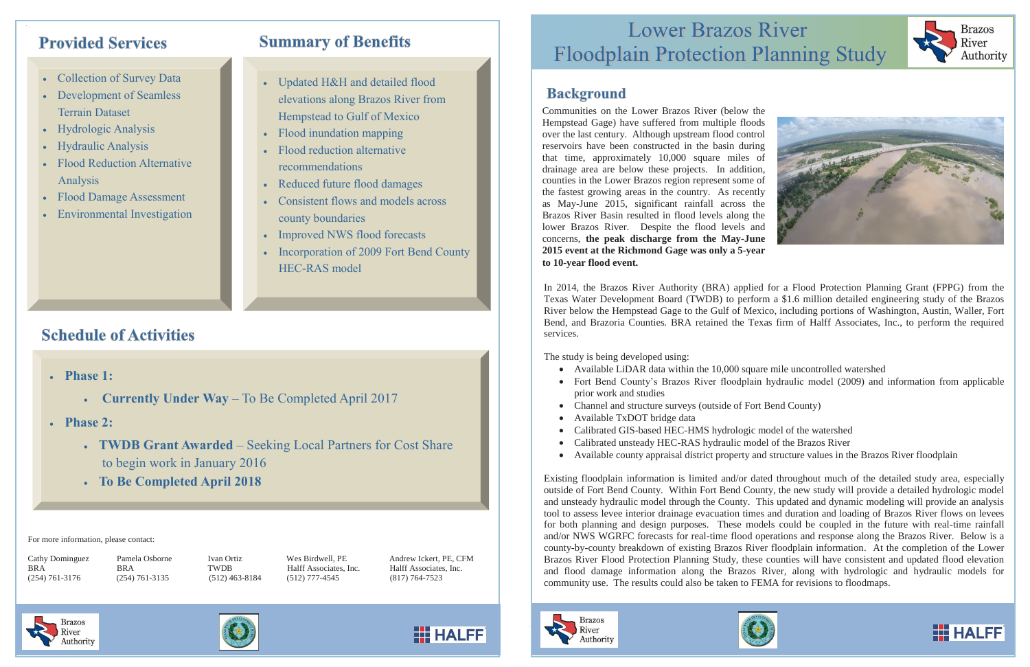## **Provided Services**

- Collection of Survey Data
- Development of Seamless Terrain Dataset
- Hydrologic Analysis
- Hydraulic Analysis
- Flood Reduction Alternative Analysis
- Flood Damage Assessment
- Environmental Investigation

# **Summary of Benefits**

- Updated H&H and detailed flood elevations along Brazos River from Hempstead to Gulf of Mexico
- Flood inundation mapping
- Flood reduction alternative recommendations
- Reduced future flood damages
- Consistent flows and models across county boundaries
- Improved NWS flood forecasts
- Incorporation of 2009 Fort Bend County HEC-RAS model

# **Schedule of Activities**

- **Phase 1:**
	- **Currently Under Way** To Be Completed April 2017
- **Phase 2:**
	- **TWDB Grant Awarded** Seeking Local Partners for Cost Share to begin work in January 2016
	- **To Be Completed April 2018**

Cathy Dominguez Pamela Osborne Ivan Ortiz Wes Birdwell, PE Andrew Ickert, PE, CFM BRA BRA TWDB Halff Associates, Inc. Halff Associates, Inc.

**HI HALFF** 

# **Lower Brazos River Floodplain Protection Planning Study**

## **Background**

Communities on the Lower Brazos River (below the Hempstead Gage) have suffered from multiple floods over the last century. Although upstream flood control reservoirs have been constructed in the basin during that time, approximately 10,000 square miles of drainage area are below these projects. In addition, counties in the Lower Brazos region represent some of the fastest growing areas in the country. As recently as May-June 2015, significant rainfall across the Brazos River Basin resulted in flood levels along the lower Brazos River. Despite the flood levels and concerns, **the peak discharge from the May-June 2015 event at the Richmond Gage was only a 5-year to 10-year flood event.**

For more information, please contact:

(254) 761-3176 (254) 761-3135 (512) 463-8184 (512) 777-4545 (817) 764-7523

In 2014, the Brazos River Authority (BRA) applied for a Flood Protection Planning Grant (FPPG) from the Texas Water Development Board (TWDB) to perform a \$1.6 million detailed engineering study of the Brazos River below the Hempstead Gage to the Gulf of Mexico, including portions of Washington, Austin, Waller, Fort Bend, and Brazoria Counties. BRA retained the Texas firm of Halff Associates, Inc., to perform the required services.

The study is being developed using:

- Available LiDAR data within the 10,000 square mile uncontrolled watershed
- prior work and studies
- Channel and structure surveys (outside of Fort Bend County)
- Available TxDOT bridge data
- Calibrated GIS-based HEC-HMS hydrologic model of the watershed
- Calibrated unsteady HEC-RAS hydraulic model of the Brazos River
- Available county appraisal district property and structure values in the Brazos River floodplain

Existing floodplain information is limited and/or dated throughout much of the detailed study area, especially outside of Fort Bend County. Within Fort Bend County, the new study will provide a detailed hydrologic model and unsteady hydraulic model through the County. This updated and dynamic modeling will provide an analysis tool to assess levee interior drainage evacuation times and duration and loading of Brazos River flows on levees for both planning and design purposes. These models could be coupled in the future with real-time rainfall and/or NWS WGRFC forecasts for real-time flood operations and response along the Brazos River. Below is a county-by-county breakdown of existing Brazos River floodplain information. At the completion of the Lower Brazos River Flood Protection Planning Study, these counties will have consistent and updated flood elevation and flood damage information along the Brazos River, along with hydrologic and hydraulic models for community use. The results could also be taken to FEMA for revisions to floodmaps.













• Fort Bend County's Brazos River floodplain hydraulic model (2009) and information from applicable